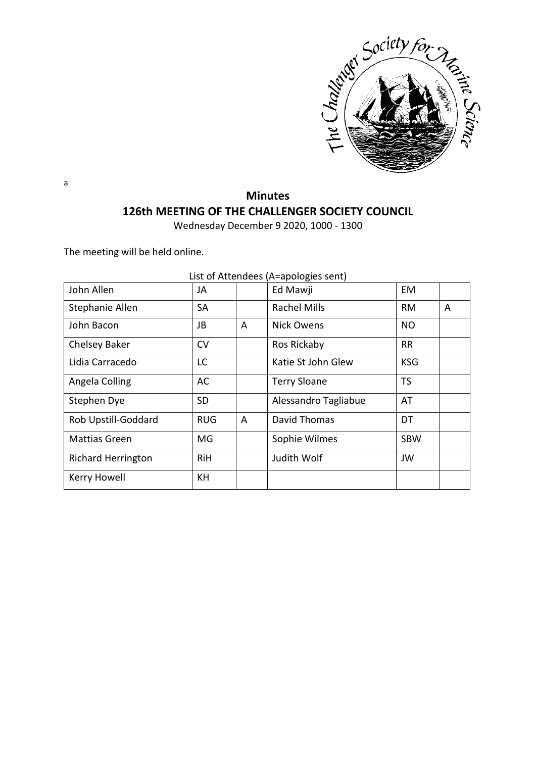

#### **Minutes 126th MEETING OF THE CHALLENGER SOCIETY COUNCIL**

Wednesday December 9 2020, 1000 - 1300

The meeting will be held online.

| John Allen                | JA         |   | Ed Mawji             | EM         |   |
|---------------------------|------------|---|----------------------|------------|---|
| Stephanie Allen           | <b>SA</b>  |   | <b>Rachel Mills</b>  | <b>RM</b>  | A |
| John Bacon                | JB         | A | Nick Owens           | <b>NO</b>  |   |
| Chelsey Baker             | <b>CV</b>  |   | Ros Rickaby          | <b>RR</b>  |   |
| Lidia Carracedo           | LC         |   | Katie St John Glew   | <b>KSG</b> |   |
| Angela Colling            | AC         |   | <b>Terry Sloane</b>  | <b>TS</b>  |   |
| Stephen Dye               | <b>SD</b>  |   | Alessandro Tagliabue | AT         |   |
| Rob Upstill-Goddard       | <b>RUG</b> | A | David Thomas         | DT         |   |
| <b>Mattias Green</b>      | MG         |   | Sophie Wilmes        | <b>SBW</b> |   |
| <b>Richard Herrington</b> | <b>RiH</b> |   | Judith Wolf          | JW         |   |
| Kerry Howell              | KH         |   |                      |            |   |

List of Attendees (A=apologies sent)

a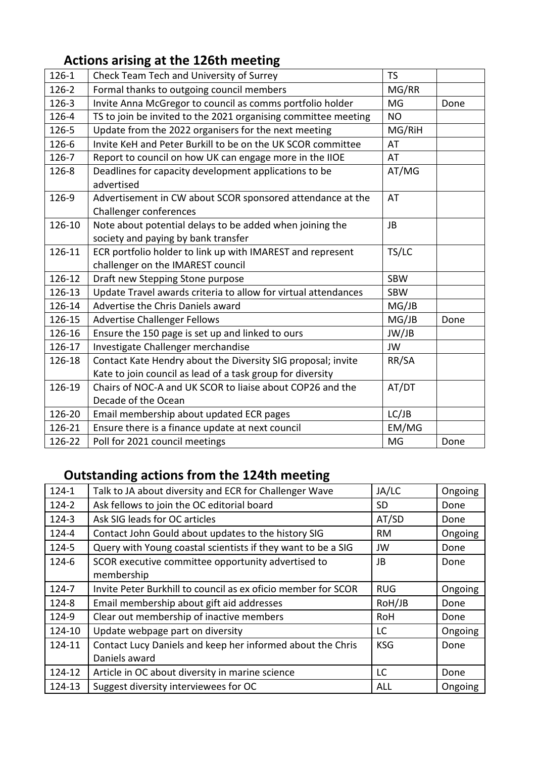## **Actions arising at the 126th meeting**

| $126 - 1$ | Check Team Tech and University of Surrey                                             | <b>TS</b>  |      |
|-----------|--------------------------------------------------------------------------------------|------------|------|
| $126 - 2$ | Formal thanks to outgoing council members                                            | MG/RR      |      |
| $126 - 3$ | Invite Anna McGregor to council as comms portfolio holder                            | MG         | Done |
| 126-4     | TS to join be invited to the 2021 organising committee meeting                       | <b>NO</b>  |      |
| 126-5     | Update from the 2022 organisers for the next meeting                                 | MG/RiH     |      |
| 126-6     | Invite KeH and Peter Burkill to be on the UK SCOR committee                          | AT         |      |
| 126-7     | Report to council on how UK can engage more in the IIOE                              | AT         |      |
| 126-8     | Deadlines for capacity development applications to be<br>advertised                  | AT/MG      |      |
| 126-9     | Advertisement in CW about SCOR sponsored attendance at the<br>Challenger conferences | AT         |      |
| 126-10    | Note about potential delays to be added when joining the                             | <b>JB</b>  |      |
|           | society and paying by bank transfer                                                  |            |      |
| 126-11    | ECR portfolio holder to link up with IMAREST and represent                           | TS/LC      |      |
|           | challenger on the IMAREST council                                                    |            |      |
| 126-12    | Draft new Stepping Stone purpose                                                     | SBW        |      |
| 126-13    | Update Travel awards criteria to allow for virtual attendances                       | <b>SBW</b> |      |
| 126-14    | Advertise the Chris Daniels award                                                    | MG/JB      |      |
| 126-15    | <b>Advertise Challenger Fellows</b>                                                  | MG/JB      | Done |
| 126-16    | Ensure the 150 page is set up and linked to ours                                     | JW/JB      |      |
| 126-17    | Investigate Challenger merchandise                                                   | <b>JW</b>  |      |
| 126-18    | Contact Kate Hendry about the Diversity SIG proposal; invite                         | RR/SA      |      |
|           | Kate to join council as lead of a task group for diversity                           |            |      |
| 126-19    | Chairs of NOC-A and UK SCOR to liaise about COP26 and the                            | AT/DT      |      |
|           | Decade of the Ocean                                                                  |            |      |
| 126-20    | Email membership about updated ECR pages                                             | LC/JB      |      |
| 126-21    | Ensure there is a finance update at next council                                     | EM/MG      |      |
| 126-22    | Poll for 2021 council meetings                                                       | MG         | Done |

### **Outstanding actions from the 124th meeting**

| $124 - 1$ | Talk to JA about diversity and ECR for Challenger Wave        | JA/LC      | Ongoing |
|-----------|---------------------------------------------------------------|------------|---------|
| $124 - 2$ | Ask fellows to join the OC editorial board                    | SD.        | Done    |
| $124 - 3$ | Ask SIG leads for OC articles                                 | AT/SD      | Done    |
| 124-4     | Contact John Gould about updates to the history SIG           | <b>RM</b>  | Ongoing |
| 124-5     | Query with Young coastal scientists if they want to be a SIG  | JW         | Done    |
| 124-6     | SCOR executive committee opportunity advertised to            | JB         | Done    |
|           | membership                                                    |            |         |
| 124-7     | Invite Peter Burkhill to council as ex oficio member for SCOR | <b>RUG</b> | Ongoing |
| 124-8     | Email membership about gift aid addresses                     | RoH/JB     | Done    |
| 124-9     | Clear out membership of inactive members                      | <b>RoH</b> | Done    |
| 124-10    | Update webpage part on diversity                              | LC         | Ongoing |
| 124-11    | Contact Lucy Daniels and keep her informed about the Chris    | <b>KSG</b> | Done    |
|           | Daniels award                                                 |            |         |
| 124-12    | Article in OC about diversity in marine science               | LC         | Done    |
| 124-13    | Suggest diversity interviewees for OC                         | ALL        | Ongoing |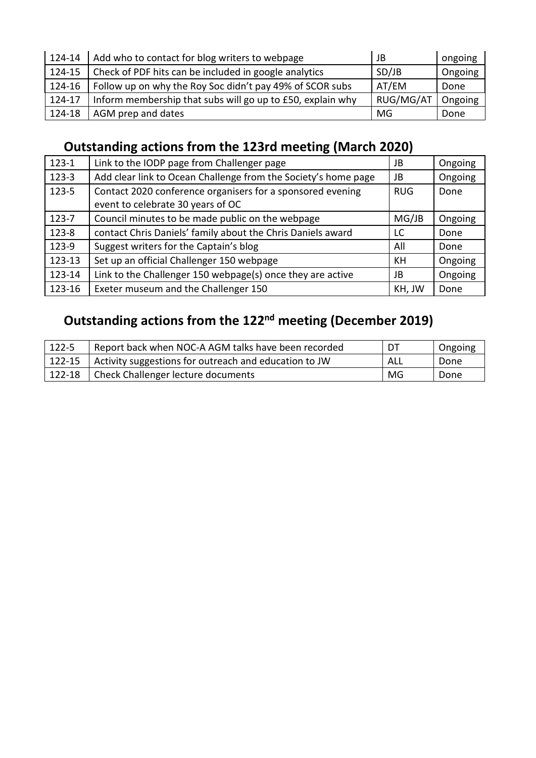| 124-14   | Add who to contact for blog writers to webpage             | JB        | ongoing |
|----------|------------------------------------------------------------|-----------|---------|
| 124-15   | Check of PDF hits can be included in google analytics      | SD/JB     | Ongoing |
| 124-16   | Follow up on why the Roy Soc didn't pay 49% of SCOR subs   | AT/EM     | Done    |
| 124-17   | Inform membership that subs will go up to £50, explain why | RUG/MG/AT | Ongoing |
| $124-18$ | AGM prep and dates                                         | MG        | Done    |

## **Outstanding actions from the 123rd meeting (March 2020)**

| $123-1$   | Link to the IODP page from Challenger page                                                      | JB         | Ongoing |
|-----------|-------------------------------------------------------------------------------------------------|------------|---------|
| $123-3$   | Add clear link to Ocean Challenge from the Society's home page                                  | JB         | Ongoing |
| $123 - 5$ | Contact 2020 conference organisers for a sponsored evening<br>event to celebrate 30 years of OC | <b>RUG</b> | Done    |
| $123 - 7$ | Council minutes to be made public on the webpage                                                | MG/JB      | Ongoing |
| 123-8     | contact Chris Daniels' family about the Chris Daniels award                                     | LC         | Done    |
| 123-9     | Suggest writers for the Captain's blog                                                          | All        | Done    |
| 123-13    | Set up an official Challenger 150 webpage                                                       | KH         | Ongoing |
| 123-14    | Link to the Challenger 150 webpage(s) once they are active                                      | JB         | Ongoing |
| 123-16    | Exeter museum and the Challenger 150                                                            | KH, JW     | Done    |

# **Outstanding actions from the 122nd meeting (December 2019)**

| $122 - 5$ | Report back when NOC-A AGM talks have been recorded   | DT  | Ongoing |
|-----------|-------------------------------------------------------|-----|---------|
| 122-15    | Activity suggestions for outreach and education to JW | ALL | Done    |
| 122-18    | Check Challenger lecture documents                    | MG  | Done    |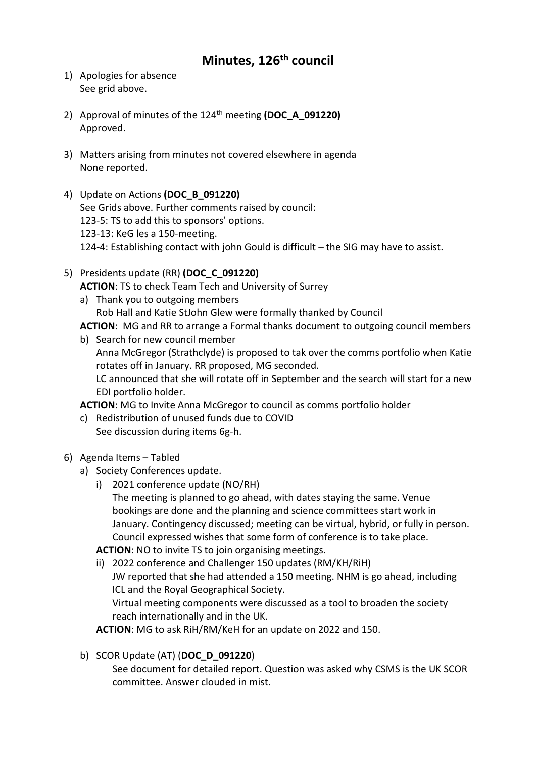#### **Minutes, 126th council**

- 1) Apologies for absence See grid above.
- 2) Approval of minutes of the 124th meeting **(DOC\_A\_091220)** Approved.
- 3) Matters arising from minutes not covered elsewhere in agenda None reported.
- 4) Update on Actions **(DOC\_B\_091220)** See Grids above. Further comments raised by council: 123-5: TS to add this to sponsors' options. 123-13: KeG les a 150-meeting. 124-4: Establishing contact with john Gould is difficult – the SIG may have to assist.
- 5) Presidents update (RR) **(DOC\_C\_091220) ACTION**: TS to check Team Tech and University of Surrey a) Thank you to outgoing members

Rob Hall and Katie StJohn Glew were formally thanked by Council

**ACTION**: MG and RR to arrange a Formal thanks document to outgoing council members

b) Search for new council member

Anna McGregor (Strathclyde) is proposed to tak over the comms portfolio when Katie rotates off in January. RR proposed, MG seconded. LC announced that she will rotate off in September and the search will start for a new

**ACTION**: MG to Invite Anna McGregor to council as comms portfolio holder

- c) Redistribution of unused funds due to COVID See discussion during items 6g-h.
- 6) Agenda Items Tabled
	- a) Society Conferences update.

EDI portfolio holder.

i) 2021 conference update (NO/RH) The meeting is planned to go ahead, with dates staying the same. Venue bookings are done and the planning and science committees start work in January. Contingency discussed; meeting can be virtual, hybrid, or fully in person. Council expressed wishes that some form of conference is to take place.

**ACTION**: NO to invite TS to join organising meetings.

ii) 2022 conference and Challenger 150 updates (RM/KH/RiH) JW reported that she had attended a 150 meeting. NHM is go ahead, including ICL and the Royal Geographical Society. Virtual meeting components were discussed as a tool to broaden the society reach internationally and in the UK.

**ACTION**: MG to ask RiH/RM/KeH for an update on 2022 and 150.

b) SCOR Update (AT) (**DOC\_D\_091220**)

See document for detailed report. Question was asked why CSMS is the UK SCOR committee. Answer clouded in mist.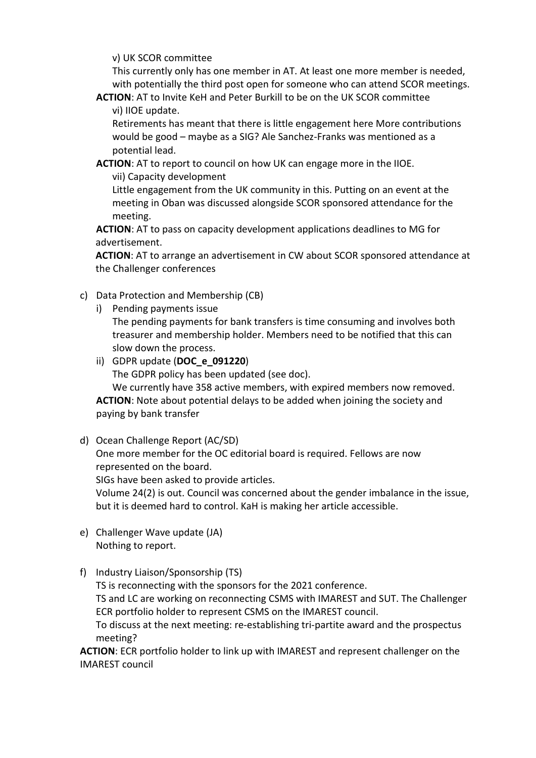v) UK SCOR committee

This currently only has one member in AT. At least one more member is needed, with potentially the third post open for someone who can attend SCOR meetings.

**ACTION**: AT to Invite KeH and Peter Burkill to be on the UK SCOR committee vi) IIOE update.

Retirements has meant that there is little engagement here More contributions would be good – maybe as a SIG? Ale Sanchez-Franks was mentioned as a potential lead.

**ACTION**: AT to report to council on how UK can engage more in the IIOE. vii) Capacity development

Little engagement from the UK community in this. Putting on an event at the meeting in Oban was discussed alongside SCOR sponsored attendance for the meeting.

**ACTION**: AT to pass on capacity development applications deadlines to MG for advertisement.

**ACTION**: AT to arrange an advertisement in CW about SCOR sponsored attendance at the Challenger conferences

- c) Data Protection and Membership (CB)
	- i) Pending payments issue

The pending payments for bank transfers is time consuming and involves both treasurer and membership holder. Members need to be notified that this can slow down the process.

ii) GDPR update (**DOC\_e\_091220**)

The GDPR policy has been updated (see doc).

We currently have 358 active members, with expired members now removed. **ACTION**: Note about potential delays to be added when joining the society and paying by bank transfer

d) Ocean Challenge Report (AC/SD)

One more member for the OC editorial board is required. Fellows are now represented on the board.

SIGs have been asked to provide articles.

Volume 24(2) is out. Council was concerned about the gender imbalance in the issue, but it is deemed hard to control. KaH is making her article accessible.

- e) Challenger Wave update (JA) Nothing to report.
- f) Industry Liaison/Sponsorship (TS)

TS is reconnecting with the sponsors for the 2021 conference.

TS and LC are working on reconnecting CSMS with IMAREST and SUT. The Challenger ECR portfolio holder to represent CSMS on the IMAREST council.

To discuss at the next meeting: re-establishing tri-partite award and the prospectus meeting?

**ACTION**: ECR portfolio holder to link up with IMAREST and represent challenger on the IMAREST council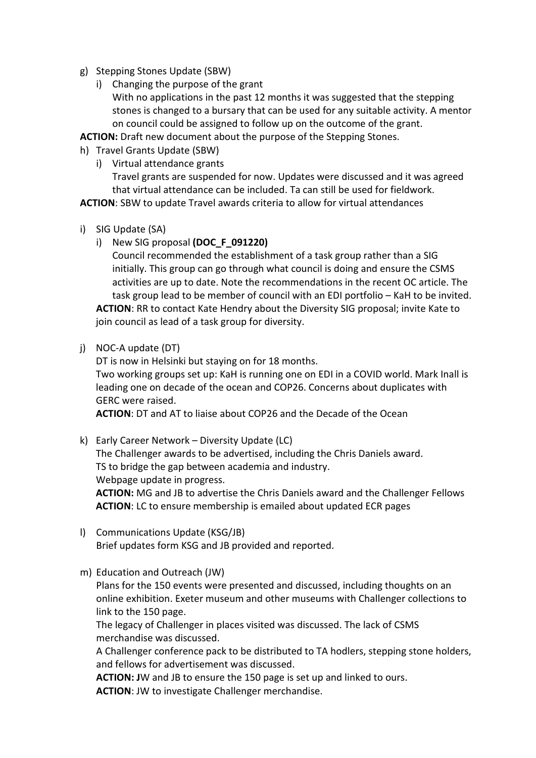- g) Stepping Stones Update (SBW)
	- i) Changing the purpose of the grant With no applications in the past 12 months it was suggested that the stepping stones is changed to a bursary that can be used for any suitable activity. A mentor on council could be assigned to follow up on the outcome of the grant.

**ACTION:** Draft new document about the purpose of the Stepping Stones.

- h) Travel Grants Update (SBW)
	- i) Virtual attendance grants

Travel grants are suspended for now. Updates were discussed and it was agreed that virtual attendance can be included. Ta can still be used for fieldwork.

**ACTION**: SBW to update Travel awards criteria to allow for virtual attendances

- i) SIG Update (SA)
	- i) New SIG proposal **(DOC\_F\_091220)**

Council recommended the establishment of a task group rather than a SIG initially. This group can go through what council is doing and ensure the CSMS activities are up to date. Note the recommendations in the recent OC article. The task group lead to be member of council with an EDI portfolio – KaH to be invited. **ACTION**: RR to contact Kate Hendry about the Diversity SIG proposal; invite Kate to join council as lead of a task group for diversity.

j) NOC-A update (DT)

DT is now in Helsinki but staying on for 18 months.

Two working groups set up: KaH is running one on EDI in a COVID world. Mark Inall is leading one on decade of the ocean and COP26. Concerns about duplicates with GERC were raised.

**ACTION**: DT and AT to liaise about COP26 and the Decade of the Ocean

- k) Early Career Network Diversity Update (LC) The Challenger awards to be advertised, including the Chris Daniels award. TS to bridge the gap between academia and industry. Webpage update in progress. **ACTION:** MG and JB to advertise the Chris Daniels award and the Challenger Fellows **ACTION**: LC to ensure membership is emailed about updated ECR pages
- l) Communications Update (KSG/JB) Brief updates form KSG and JB provided and reported.
- m) Education and Outreach (JW)

Plans for the 150 events were presented and discussed, including thoughts on an online exhibition. Exeter museum and other museums with Challenger collections to link to the 150 page.

The legacy of Challenger in places visited was discussed. The lack of CSMS merchandise was discussed.

A Challenger conference pack to be distributed to TA hodlers, stepping stone holders, and fellows for advertisement was discussed.

**ACTION: J**W and JB to ensure the 150 page is set up and linked to ours. **ACTION**: JW to investigate Challenger merchandise.